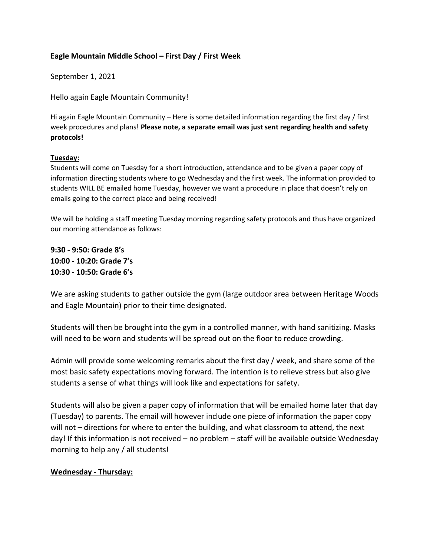## **Eagle Mountain Middle School – First Day / First Week**

September 1, 2021

Hello again Eagle Mountain Community!

Hi again Eagle Mountain Community – Here is some detailed information regarding the first day / first week procedures and plans! **Please note, a separate email was just sent regarding health and safety protocols!**

## **Tuesday:**

Students will come on Tuesday for a short introduction, attendance and to be given a paper copy of information directing students where to go Wednesday and the first week. The information provided to students WILL BE emailed home Tuesday, however we want a procedure in place that doesn't rely on emails going to the correct place and being received!

We will be holding a staff meeting Tuesday morning regarding safety protocols and thus have organized our morning attendance as follows:

**9:30 - 9:50: Grade 8's 10:00 - 10:20: Grade 7's 10:30 - 10:50: Grade 6's**

We are asking students to gather outside the gym (large outdoor area between Heritage Woods and Eagle Mountain) prior to their time designated.

Students will then be brought into the gym in a controlled manner, with hand sanitizing. Masks will need to be worn and students will be spread out on the floor to reduce crowding.

Admin will provide some welcoming remarks about the first day / week, and share some of the most basic safety expectations moving forward. The intention is to relieve stress but also give students a sense of what things will look like and expectations for safety.

Students will also be given a paper copy of information that will be emailed home later that day (Tuesday) to parents. The email will however include one piece of information the paper copy will not – directions for where to enter the building, and what classroom to attend, the next day! If this information is not received – no problem – staff will be available outside Wednesday morning to help any / all students!

## **Wednesday - Thursday:**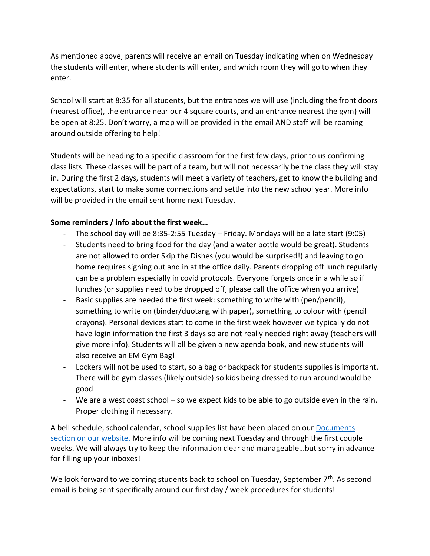As mentioned above, parents will receive an email on Tuesday indicating when on Wednesday the students will enter, where students will enter, and which room they will go to when they enter.

School will start at 8:35 for all students, but the entrances we will use (including the front doors (nearest office), the entrance near our 4 square courts, and an entrance nearest the gym) will be open at 8:25. Don't worry, a map will be provided in the email AND staff will be roaming around outside offering to help!

Students will be heading to a specific classroom for the first few days, prior to us confirming class lists. These classes will be part of a team, but will not necessarily be the class they will stay in. During the first 2 days, students will meet a variety of teachers, get to know the building and expectations, start to make some connections and settle into the new school year. More info will be provided in the email sent home next Tuesday.

## **Some reminders / info about the first week…**

- The school day will be  $8:35-2:55$  Tuesday Friday. Mondays will be a late start (9:05)
- Students need to bring food for the day (and a water bottle would be great). Students are not allowed to order Skip the Dishes (you would be surprised!) and leaving to go home requires signing out and in at the office daily. Parents dropping off lunch regularly can be a problem especially in covid protocols. Everyone forgets once in a while so if lunches (or supplies need to be dropped off, please call the office when you arrive)
- Basic supplies are needed the first week: something to write with (pen/pencil), something to write on (binder/duotang with paper), something to colour with (pencil crayons). Personal devices start to come in the first week however we typically do not have login information the first 3 days so are not really needed right away (teachers will give more info). Students will all be given a new agenda book, and new students will also receive an EM Gym Bag!
- Lockers will not be used to start, so a bag or backpack for students supplies is important. There will be gym classes (likely outside) so kids being dressed to run around would be good
- We are a west coast school so we expect kids to be able to go outside even in the rain. Proper clothing if necessary.

A bell schedule, school calendar, school supplies list have been placed on our [Documents](https://www.sd43.bc.ca/school/EagleMountain/Documents/Forms/AllItems.aspx#/=)  [section on our website.](https://www.sd43.bc.ca/school/EagleMountain/Documents/Forms/AllItems.aspx#/=) More info will be coming next Tuesday and through the first couple weeks. We will always try to keep the information clear and manageable…but sorry in advance for filling up your inboxes!

We look forward to welcoming students back to school on Tuesday, September  $7<sup>th</sup>$ . As second email is being sent specifically around our first day / week procedures for students!